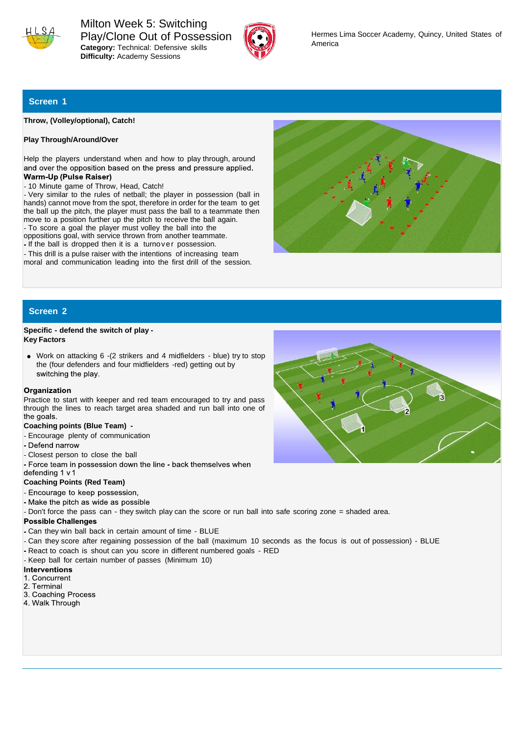

Milton Week 5: Switching Play/Clone Out of Possession **Category:** Technical: Defensive skills **Difficulty:** Academy Sessions



# **Screen 1**

**Throw, (Volley/optional), Catch!**

## **Play Through/Around/Over**

Help the players understand when and how to play through, around and over the opposition based on the press and pressure applied. Warm-Up (Pulse Raiser)

10 Minute game of Throw, Head, Catch!

Very similar to the rules of netball; the player in possession (ball in hands) cannot move from the spot, therefore in order for the team to get the ball up the pitch, the player must pass the ball to a teammate then move to a position further up the pitch to receive the ball again. To score a goal the player must volley the ball into the

- oppositions goal, with service thrown from another teammate.
- If the ball is dropped then it is a turnover possession.
- This drill is a pulse raiser with the intentions of increasing team moral and communication leading into the first drill of the session.



# **Screen 2**

## **Specific - defend the switch of play - Key Factors**

Work on attacking 6 -(2 strikers and 4 midfielders - blue) try to stop the (four defenders and four midfielders -red) getting out by switching the play.

### Organization

Practice to start with keeper and red team encouraged to try and pass through the lines to reach target area shaded and run ball into one of the goals.

## **Coaching points (Blue Team) -**

- Encourage plenty of communication
- Defend narrow
- Closest person to close the ball
- Force team in possession down the line back themselves when

## defending 1 v 1 **Coaching Points (Red Team)**

- Encourage to keep possession,
- Make the pitch as wide as possible
- Don't force the pass can they switch play can the score or run ball into safe scoring zone = shaded area.

### **Possible Challenges**

- Can they win ball back in certain amount of time BLUE
- Can they score after regaining possession of the ball (maximum 10 seconds as the focus is out of possession) BLUE
- React to coach is shout can you score in different numbered goals RED
- Keep ball for certain number of passes (Minimum 10)<br>Interventions

- 1. Concurrent
- 2. Terminal
- 3. Coaching Process
- 4. Walk Through